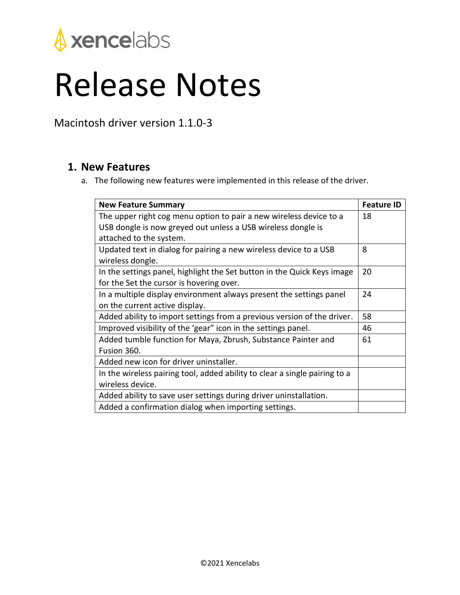

## Release Notes

Macintosh driver version 1.1.0-3

## **1. New Features**

a. The following new features were implemented in this release of the driver.

| <b>New Feature Summary</b>                                                            | <b>Feature ID</b> |
|---------------------------------------------------------------------------------------|-------------------|
| The upper right cog menu option to pair a new wireless device to a                    | 18                |
| USB dongle is now greyed out unless a USB wireless dongle is                          |                   |
| attached to the system.                                                               |                   |
| Updated text in dialog for pairing a new wireless device to a USB<br>wireless dongle. | 8                 |
| In the settings panel, highlight the Set button in the Quick Keys image               | 20                |
| for the Set the cursor is hovering over.                                              |                   |
| In a multiple display environment always present the settings panel                   | 24                |
| on the current active display.                                                        |                   |
| Added ability to import settings from a previous version of the driver.               | 58                |
| Improved visibility of the 'gear" icon in the settings panel.                         | 46                |
| Added tumble function for Maya, Zbrush, Substance Painter and                         | 61                |
| Fusion 360.                                                                           |                   |
| Added new icon for driver uninstaller.                                                |                   |
| In the wireless pairing tool, added ability to clear a single pairing to a            |                   |
| wireless device.                                                                      |                   |
| Added ability to save user settings during driver uninstallation.                     |                   |
| Added a confirmation dialog when importing settings.                                  |                   |